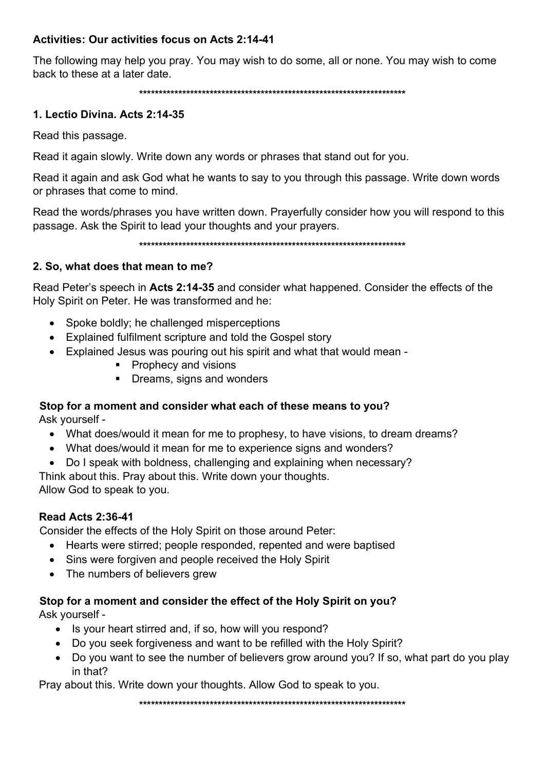## Activities: Our activities focus on Acts 2:14-41

The following may help you pray. You may wish to do some, all or none. You may wish to come back to these at a later date.

\*\*\*\*\*\*\*\*\*\*\*\*\*\*\*\*\*\*\*\*\*\*\*\*\*\*\*\*\*\*\*\*\*\*\*\*\*\*\*\*\*\*\*\*\*\*\*\*\*\*\*\*\*\*\*\*\*\*\*\*\*\*\*\*\*\*\*\*

#### 1. Lectio Divina. Acts 2:14-35

Read this passage.

Read it again slowly. Write down any words or phrases that stand out for you.

Read it again and ask God what he wants to say to you through this passage. Write down words or phrases that come to mind.

Read the words/phrases you have written down. Prayerfully consider how you will respond to this passage. Ask the Spirit to lead your thoughts and your prayers.

\*\*\*\*\*\*\*\*\*\*\*\*\*\*\*\*\*\*\*\*\*\*\*\*\*\*\*\*\*\*\*\*\*\*\*\*\*\*\*\*\*\*\*\*\*\*\*\*\*\*\*\*\*\*\*\*\*\*\*\*\*\*\*\*\*\*\*\*

#### 2. So, what does that mean to me?

Read Peter's speech in Acts 2:14-35 and consider what happened. Consider the effects of the Holy Spirit on Peter. He was transformed and he:

- Spoke boldly; he challenged misperceptions
- Explained fulfilment scripture and told the Gospel story
- Explained Jesus was pouring out his spirit and what that would mean
	- **Prophecy and visions**
	- Dreams, signs and wonders

# Stop for a moment and consider what each of these means to you?

Ask yourself -

- What does/would it mean for me to prophesy, to have visions, to dream dreams?
- What does/would it mean for me to experience signs and wonders?
- Do I speak with boldness, challenging and explaining when necessary?

Think about this. Pray about this. Write down your thoughts. Allow God to speak to you.

## Read Acts 2:36-41

Consider the effects of the Holy Spirit on those around Peter:

- Hearts were stirred; people responded, repented and were baptised
- Sins were forgiven and people received the Holy Spirit
- The numbers of believers grew

## Stop for a moment and consider the effect of the Holy Spirit on you?

Ask yourself -

- Is your heart stirred and, if so, how will you respond?
- Do you seek forgiveness and want to be refilled with the Holy Spirit?
- Do you want to see the number of believers grow around you? If so, what part do you play in that?

Pray about this. Write down your thoughts. Allow God to speak to you.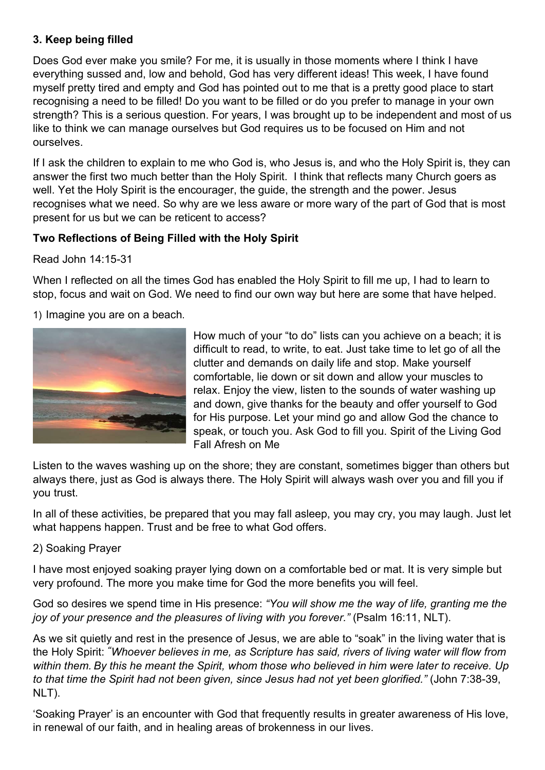## 3. Keep being filled

Does God ever make you smile? For me, it is usually in those moments where I think I have everything sussed and, low and behold, God has very different ideas! This week, I have found myself pretty tired and empty and God has pointed out to me that is a pretty good place to start recognising a need to be filled! Do you want to be filled or do you prefer to manage in your own strength? This is a serious question. For years, I was brought up to be independent and most of us like to think we can manage ourselves but God requires us to be focused on Him and not ourselves.

If I ask the children to explain to me who God is, who Jesus is, and who the Holy Spirit is, they can answer the first two much better than the Holy Spirit. I think that reflects many Church goers as well. Yet the Holy Spirit is the encourager, the guide, the strength and the power. Jesus recognises what we need. So why are we less aware or more wary of the part of God that is most present for us but we can be reticent to access?

## Two Reflections of Being Filled with the Holy Spirit

Read John 14:15-31

When I reflected on all the times God has enabled the Holy Spirit to fill me up, I had to learn to stop, focus and wait on God. We need to find our own way but here are some that have helped.

1) Imagine you are on a beach.



How much of your "to do" lists can you achieve on a beach; it is difficult to read, to write, to eat. Just take time to let go of all the clutter and demands on daily life and stop. Make yourself comfortable, lie down or sit down and allow your muscles to relax. Enjoy the view, listen to the sounds of water washing up and down, give thanks for the beauty and offer yourself to God for His purpose. Let your mind go and allow God the chance to speak, or touch you. Ask God to fill you. Spirit of the Living God Fall Afresh on Me

Listen to the waves washing up on the shore; they are constant, sometimes bigger than others but always there, just as God is always there. The Holy Spirit will always wash over you and fill you if you trust.

In all of these activities, be prepared that you may fall asleep, you may cry, you may laugh. Just let what happens happen. Trust and be free to what God offers.

## 2) Soaking Prayer

I have most enjoyed soaking prayer lying down on a comfortable bed or mat. It is very simple but very profound. The more you make time for God the more benefits you will feel.

God so desires we spend time in His presence: "You will show me the way of life, granting me the joy of your presence and the pleasures of living with you forever." (Psalm 16:11, NLT).

As we sit quietly and rest in the presence of Jesus, we are able to "soak" in the living water that is the Holy Spirit: "Whoever believes in me, as Scripture has said, rivers of living water will flow from within them. By this he meant the Spirit, whom those who believed in him were later to receive. Up to that time the Spirit had not been given, since Jesus had not yet been glorified." (John 7:38-39, NLT).

'Soaking Prayer' is an encounter with God that frequently results in greater awareness of His love, in renewal of our faith, and in healing areas of brokenness in our lives.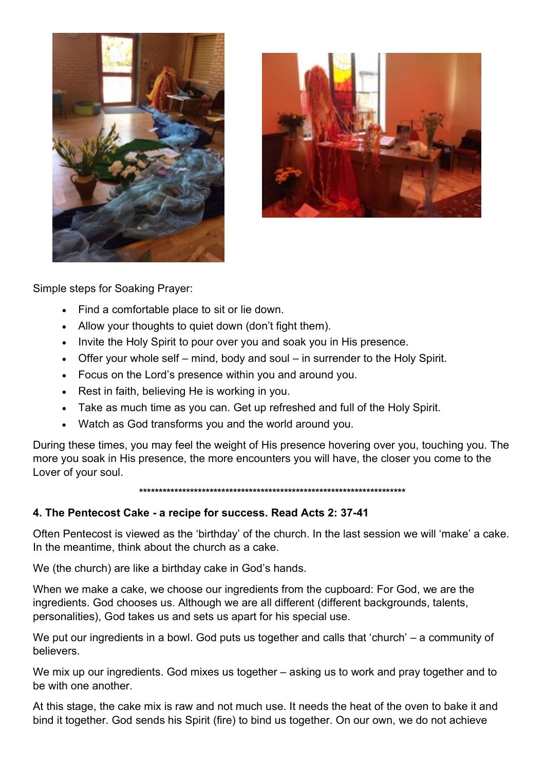



Simple steps for Soaking Prayer:

- Find a comfortable place to sit or lie down.
- Allow your thoughts to quiet down (don't fight them).
- Invite the Holy Spirit to pour over you and soak you in His presence.
- Offer your whole self mind, body and soul in surrender to the Holy Spirit.
- Focus on the Lord's presence within you and around you.
- Rest in faith, believing He is working in you.
- Take as much time as you can. Get up refreshed and full of the Holy Spirit.
- Watch as God transforms you and the world around you.

During these times, you may feel the weight of His presence hovering over you, touching you. The more you soak in His presence, the more encounters you will have, the closer you come to the Lover of your soul.

\*\*\*\*\*\*\*\*\*\*\*\*\*\*\*\*\*\*\*\*\*\*\*\*\*\*\*\*\*\*\*\*\*\*\*\*\*\*\*\*\*\*\*\*\*\*\*\*\*\*\*\*\*\*\*\*\*\*\*\*\*\*\*\*\*\*\*\*

## 4. The Pentecost Cake - a recipe for success. Read Acts 2: 37-41

Often Pentecost is viewed as the 'birthday' of the church. In the last session we will 'make' a cake. In the meantime, think about the church as a cake.

We (the church) are like a birthday cake in God's hands.

When we make a cake, we choose our ingredients from the cupboard: For God, we are the ingredients. God chooses us. Although we are all different (different backgrounds, talents, personalities), God takes us and sets us apart for his special use.

We put our ingredients in a bowl. God puts us together and calls that 'church' – a community of believers.

We mix up our ingredients. God mixes us together – asking us to work and pray together and to be with one another.

At this stage, the cake mix is raw and not much use. It needs the heat of the oven to bake it and bind it together. God sends his Spirit (fire) to bind us together. On our own, we do not achieve